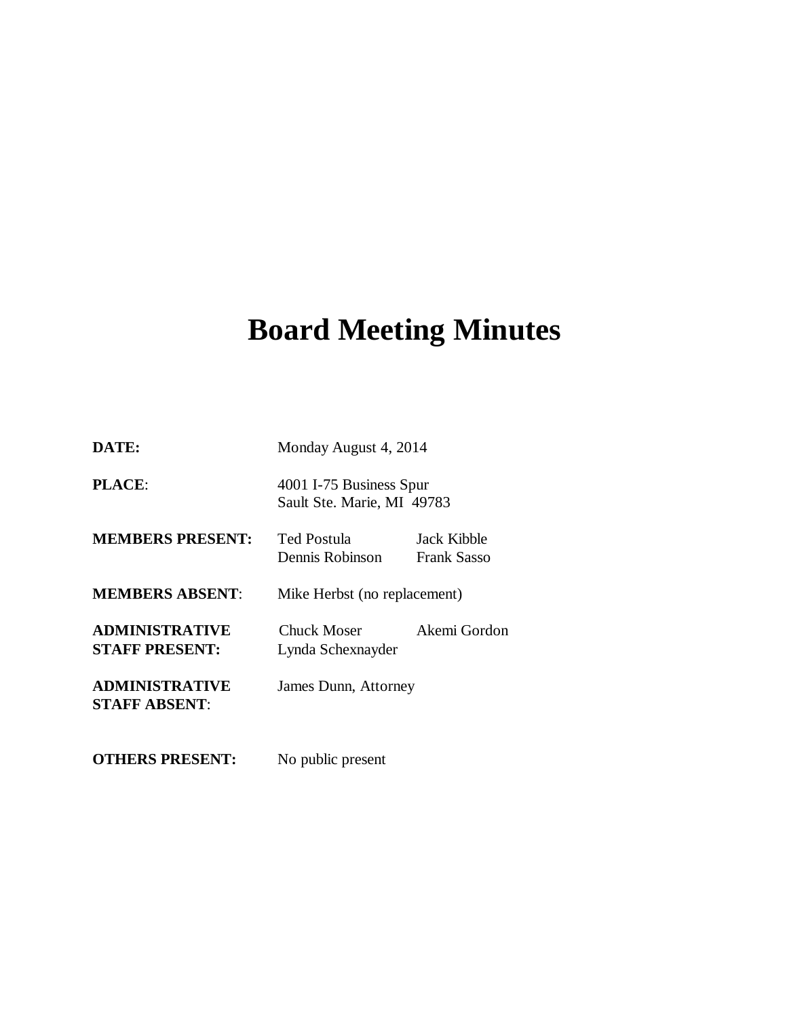# **Board Meeting Minutes**

| DATE:                                          | Monday August 4, 2014                                 |                                   |
|------------------------------------------------|-------------------------------------------------------|-----------------------------------|
| <b>PLACE:</b>                                  | 4001 I-75 Business Spur<br>Sault Ste. Marie, MI 49783 |                                   |
| <b>MEMBERS PRESENT:</b>                        | Ted Postula<br>Dennis Robinson                        | Jack Kibble<br><b>Frank Sasso</b> |
| <b>MEMBERS ABSENT:</b>                         | Mike Herbst (no replacement)                          |                                   |
| <b>ADMINISTRATIVE</b><br><b>STAFF PRESENT:</b> | <b>Chuck Moser</b><br>Lynda Schexnayder               | Akemi Gordon                      |
| <b>ADMINISTRATIVE</b><br><b>STAFF ABSENT:</b>  | James Dunn, Attorney                                  |                                   |
| <b>OTHERS PRESENT:</b>                         | No public present                                     |                                   |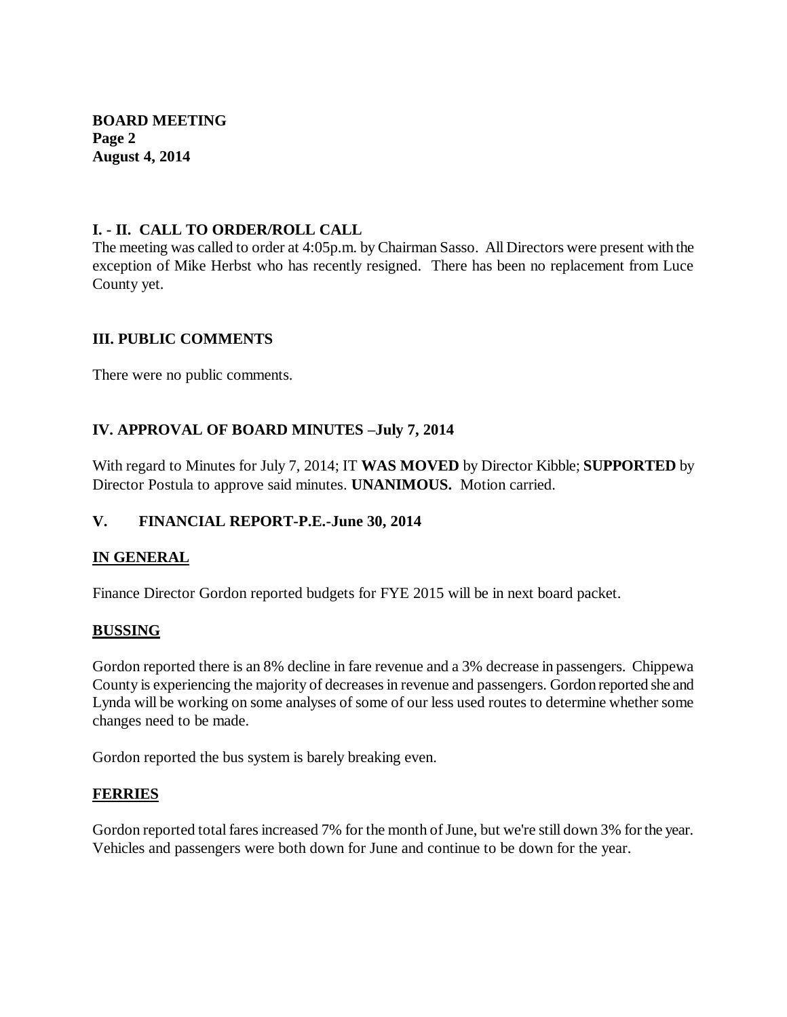**BOARD MEETING Page 2 August 4, 2014**

## **I. - II. CALL TO ORDER/ROLL CALL**

The meeting was called to order at 4:05p.m. by Chairman Sasso. All Directors were present with the exception of Mike Herbst who has recently resigned. There has been no replacement from Luce County yet.

# **III. PUBLIC COMMENTS**

There were no public comments.

# **IV. APPROVAL OF BOARD MINUTES –July 7, 2014**

With regard to Minutes for July 7, 2014; IT **WAS MOVED** by Director Kibble; **SUPPORTED** by Director Postula to approve said minutes. **UNANIMOUS.** Motion carried.

## **V. FINANCIAL REPORT-P.E.-June 30, 2014**

## **IN GENERAL**

Finance Director Gordon reported budgets for FYE 2015 will be in next board packet.

## **BUSSING**

Gordon reported there is an 8% decline in fare revenue and a 3% decrease in passengers. Chippewa County is experiencing the majority of decreases in revenue and passengers. Gordon reported she and Lynda will be working on some analyses of some of our less used routes to determine whether some changes need to be made.

Gordon reported the bus system is barely breaking even.

## **FERRIES**

Gordon reported total fares increased 7% for the month of June, but we're still down 3% for the year. Vehicles and passengers were both down for June and continue to be down for the year.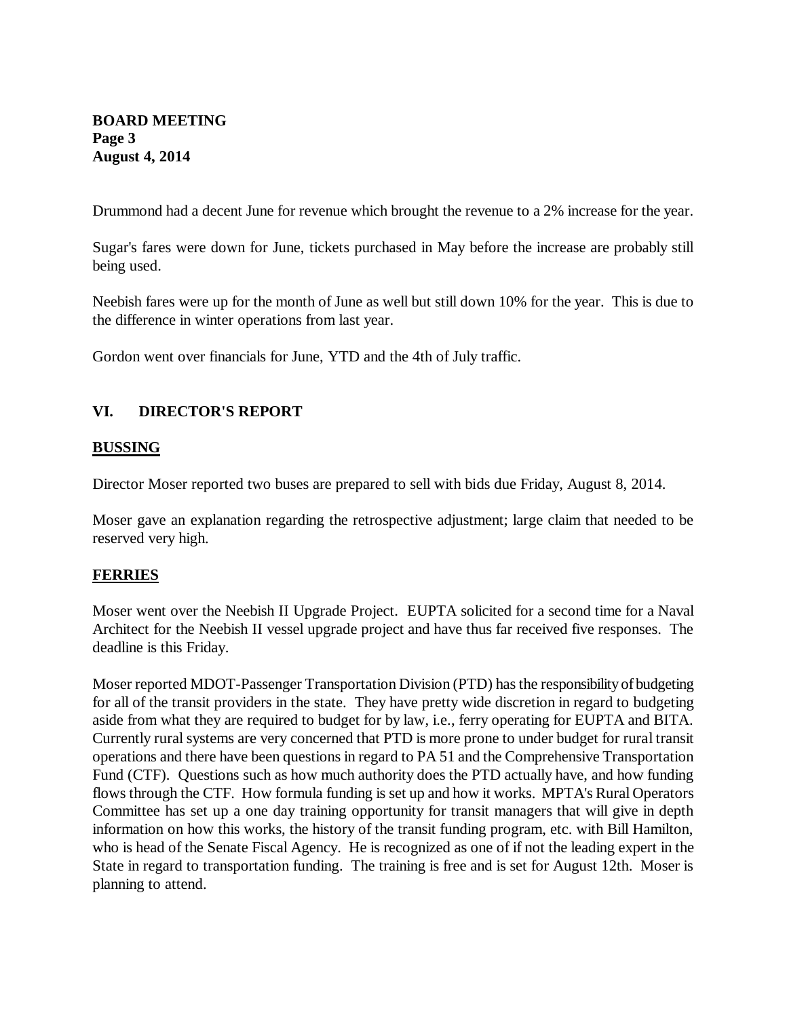## **BOARD MEETING Page 3 August 4, 2014**

Drummond had a decent June for revenue which brought the revenue to a 2% increase for the year.

Sugar's fares were down for June, tickets purchased in May before the increase are probably still being used.

Neebish fares were up for the month of June as well but still down 10% for the year. This is due to the difference in winter operations from last year.

Gordon went over financials for June, YTD and the 4th of July traffic.

#### **VI. DIRECTOR'S REPORT**

#### **BUSSING**

Director Moser reported two buses are prepared to sell with bids due Friday, August 8, 2014.

Moser gave an explanation regarding the retrospective adjustment; large claim that needed to be reserved very high.

#### **FERRIES**

Moser went over the Neebish II Upgrade Project. EUPTA solicited for a second time for a Naval Architect for the Neebish II vessel upgrade project and have thus far received five responses. The deadline is this Friday.

Moser reported MDOT-Passenger Transportation Division (PTD) has the responsibility of budgeting for all of the transit providers in the state. They have pretty wide discretion in regard to budgeting aside from what they are required to budget for by law, i.e., ferry operating for EUPTA and BITA. Currently rural systems are very concerned that PTD is more prone to under budget for rural transit operations and there have been questions in regard to PA 51 and the Comprehensive Transportation Fund (CTF). Questions such as how much authority does the PTD actually have, and how funding flows through the CTF. How formula funding is set up and how it works. MPTA's Rural Operators Committee has set up a one day training opportunity for transit managers that will give in depth information on how this works, the history of the transit funding program, etc. with Bill Hamilton, who is head of the Senate Fiscal Agency. He is recognized as one of if not the leading expert in the State in regard to transportation funding. The training is free and is set for August 12th. Moser is planning to attend.